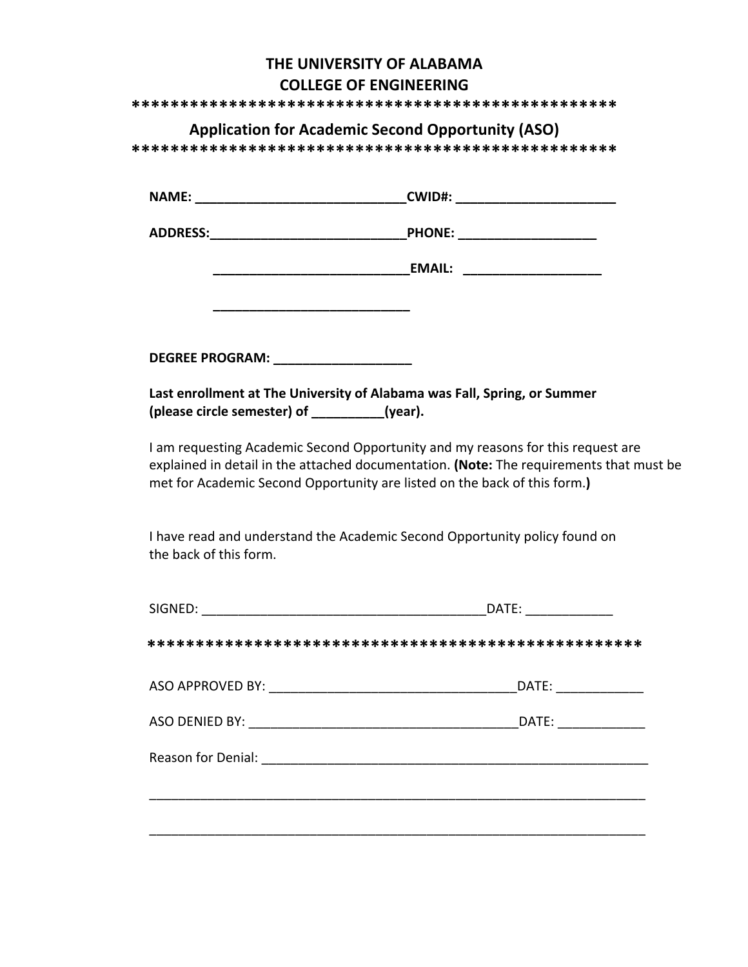## **THE UNIVERSITY OF ALABAMA COLLEGE OF ENGINEERING**

**\*\*\*\*\*\*\*\*\*\*\*\*\*\*\*\*\*\*\*\*\*\*\*\*\*\*\*\*\*\*\*\*\*\*\*\*\*\*\*\*\*\*\*\*\*\*\*\*\*\***

## **Application for Academic Second Opportunity (ASO)**

**\*\*\*\*\*\*\*\*\*\*\*\*\*\*\*\*\*\*\*\*\*\*\*\*\*\*\*\*\*\*\*\*\*\*\*\*\*\*\*\*\*\*\*\*\*\*\*\*\*\***

| <b>NAME:</b>           | <b>CWID#:</b> |
|------------------------|---------------|
| <b>ADDRESS:</b>        | <b>PHONE:</b> |
|                        | <b>EMAIL:</b> |
|                        |               |
| <b>DEGREE PROGRAM:</b> |               |

Last enrollment at The University of Alabama was Fall, Spring, or Summer (please circle semester) of **\_\_\_\_\_\_\_\_\_\_**(year).

I am requesting Academic Second Opportunity and my reasons for this request are explained in detail in the attached documentation. (Note: The requirements that must be met for Academic Second Opportunity are listed on the back of this form.)

I have read and understand the Academic Second Opportunity policy found on the back of this form.

| SIGNED:                                                                      | DATE: |
|------------------------------------------------------------------------------|-------|
|                                                                              |       |
|                                                                              | DATE: |
| ASO DENIED BY: <u>_____________________________</u>                          | DATE: |
| Reason for Denial: The Contract of Tenace Contract of the Reason for Denial: |       |
|                                                                              |       |
|                                                                              |       |